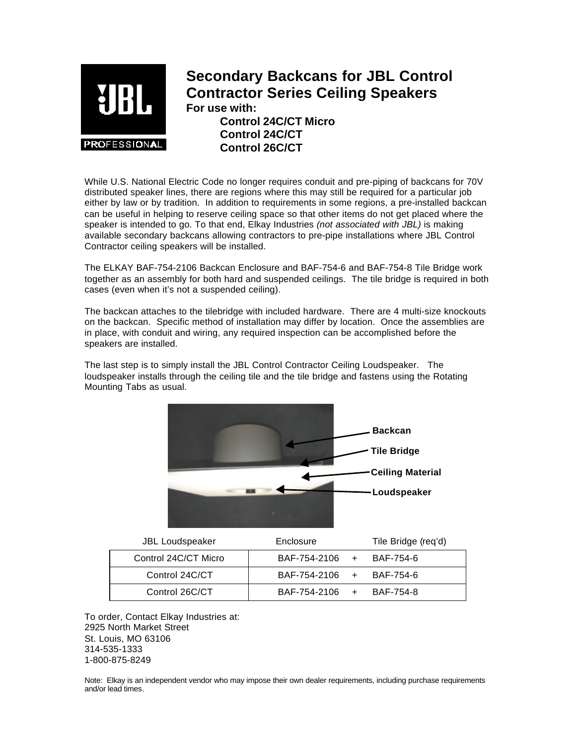

## **Secondary Backcans for JBL Control Contractor Series Ceiling Speakers For use with: Control 24C/CT Micro Control 24C/CT Control 26C/CT**

While U.S. National Electric Code no longer requires conduit and pre-piping of backcans for 70V distributed speaker lines, there are regions where this may still be required for a particular job either by law or by tradition. In addition to requirements in some regions, a pre-installed backcan can be useful in helping to reserve ceiling space so that other items do not get placed where the speaker is intended to go. To that end, Elkay Industries *(not associated with JBL)* is making available secondary backcans allowing contractors to pre-pipe installations where JBL Control Contractor ceiling speakers will be installed.

The ELKAY BAF-754-2106 Backcan Enclosure and BAF-754-6 and BAF-754-8 Tile Bridge work together as an assembly for both hard and suspended ceilings. The tile bridge is required in both cases (even when it's not a suspended ceiling).

The backcan attaches to the tilebridge with included hardware. There are 4 multi-size knockouts on the backcan. Specific method of installation may differ by location. Once the assemblies are in place, with conduit and wiring, any required inspection can be accomplished before the speakers are installed.

The last step is to simply install the JBL Control Contractor Ceiling Loudspeaker. The loudspeaker installs through the ceiling tile and the tile bridge and fastens using the Rotating Mounting Tabs as usual.



| <b>JBL Loudspeaker</b> | Enclosure                  | Tile Bridge (req'd) |
|------------------------|----------------------------|---------------------|
| Control 24C/CT Micro   | BAF-754-2106 +             | BAF-754-6           |
| Control 24C/CT         | $BAF-754-2106 + BAF-754-6$ |                     |
| Control 26C/CT         | BAF-754-2106 +             | BAF-754-8           |

To order, Contact Elkay Industries at: 2925 North Market Street St. Louis, MO 63106 314-535-1333 1-800-875-8249

Note: Elkay is an independent vendor who may impose their own dealer requirements, including purchase requirements and/or lead times.